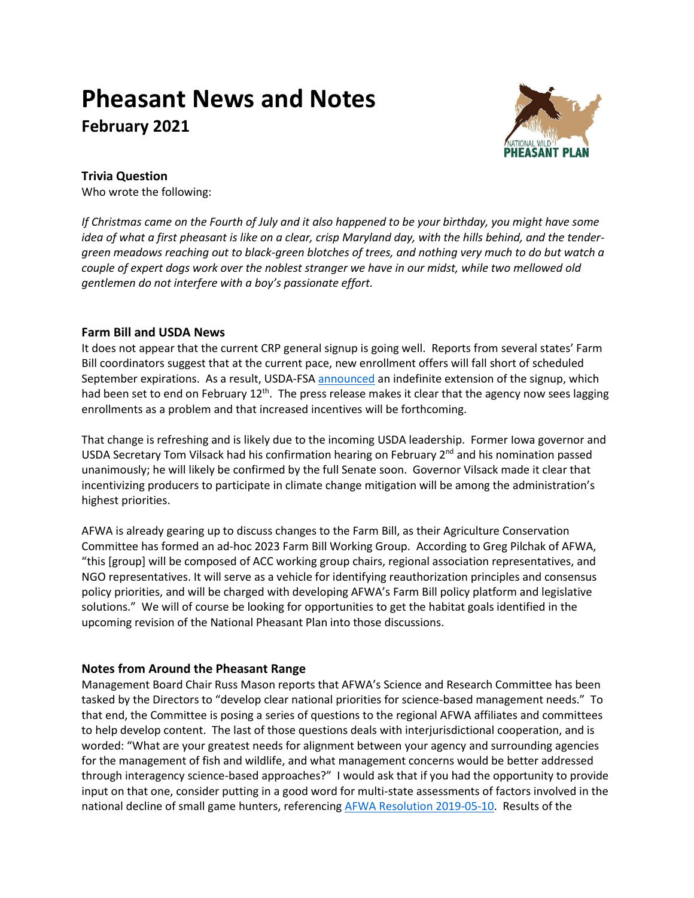# **Pheasant News and Notes February 2021**



## **Trivia Question**

Who wrote the following:

*If Christmas came on the Fourth of July and it also happened to be your birthday, you might have some idea of what a first pheasant is like on a clear, crisp Maryland day, with the hills behind, and the tendergreen meadows reaching out to black-green blotches of trees, and nothing very much to do but watch a couple of expert dogs work over the noblest stranger we have in our midst, while two mellowed old gentlemen do not interfere with a boy's passionate effort.*

### **Farm Bill and USDA News**

It does not appear that the current CRP general signup is going well. Reports from several states' Farm Bill coordinators suggest that at the current pace, new enrollment offers will fall short of scheduled September expirations. As a result, USDA-FS[A announced](https://www.fsa.usda.gov/news-room/news-releases/2021/usda-extends-general-signup-for-conservation-reserve-program) an indefinite extension of the signup, which had been set to end on February 12<sup>th</sup>. The press release makes it clear that the agency now sees lagging enrollments as a problem and that increased incentives will be forthcoming.

That change is refreshing and is likely due to the incoming USDA leadership. Former Iowa governor and USDA Secretary Tom Vilsack had his confirmation hearing on February 2<sup>nd</sup> and his nomination passed unanimously; he will likely be confirmed by the full Senate soon. Governor Vilsack made it clear that incentivizing producers to participate in climate change mitigation will be among the administration's highest priorities.

AFWA is already gearing up to discuss changes to the Farm Bill, as their Agriculture Conservation Committee has formed an ad-hoc 2023 Farm Bill Working Group. According to Greg Pilchak of AFWA, "this [group] will be composed of ACC working group chairs, regional association representatives, and NGO representatives. It will serve as a vehicle for identifying reauthorization principles and consensus policy priorities, and will be charged with developing AFWA's Farm Bill policy platform and legislative solutions." We will of course be looking for opportunities to get the habitat goals identified in the upcoming revision of the National Pheasant Plan into those discussions.

## **Notes from Around the Pheasant Range**

Management Board Chair Russ Mason reports that AFWA's Science and Research Committee has been tasked by the Directors to "develop clear national priorities for science-based management needs." To that end, the Committee is posing a series of questions to the regional AFWA affiliates and committees to help develop content. The last of those questions deals with interjurisdictional cooperation, and is worded: "What are your greatest needs for alignment between your agency and surrounding agencies for the management of fish and wildlife, and what management concerns would be better addressed through interagency science-based approaches?" I would ask that if you had the opportunity to provide input on that one, consider putting in a good word for multi-state assessments of factors involved in the national decline of small game hunters, referencing [AFWA Resolution 2019-05-10.](https://www.fishwildlife.org/application/files/8815/6993/6280/AFWA_Resolutions_2019.pdf) Results of the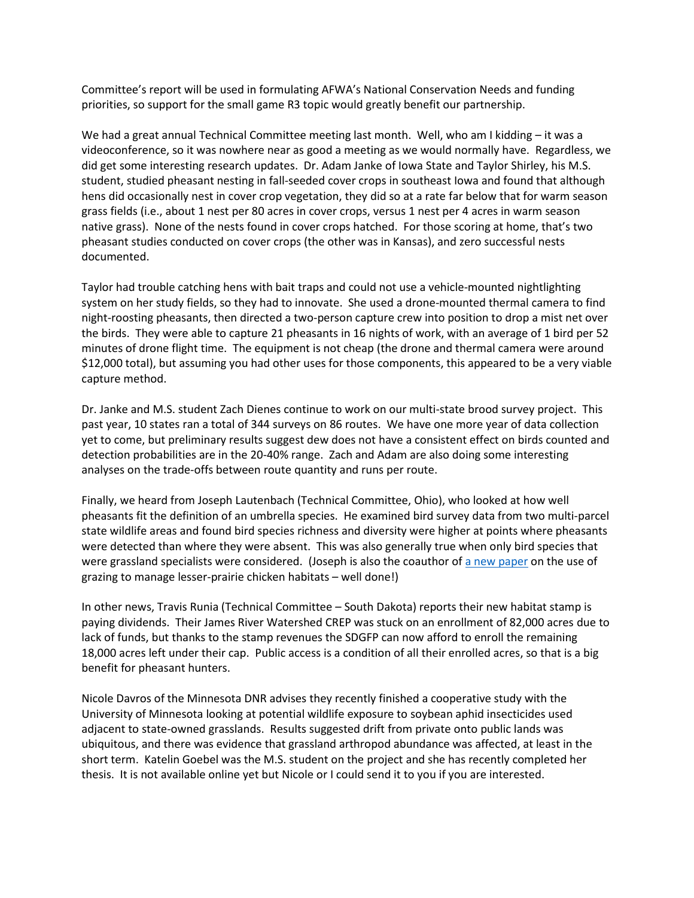Committee's report will be used in formulating AFWA's National Conservation Needs and funding priorities, so support for the small game R3 topic would greatly benefit our partnership.

We had a great annual Technical Committee meeting last month. Well, who am I kidding – it was a videoconference, so it was nowhere near as good a meeting as we would normally have. Regardless, we did get some interesting research updates. Dr. Adam Janke of Iowa State and Taylor Shirley, his M.S. student, studied pheasant nesting in fall-seeded cover crops in southeast Iowa and found that although hens did occasionally nest in cover crop vegetation, they did so at a rate far below that for warm season grass fields (i.e., about 1 nest per 80 acres in cover crops, versus 1 nest per 4 acres in warm season native grass). None of the nests found in cover crops hatched. For those scoring at home, that's two pheasant studies conducted on cover crops (the other was in Kansas), and zero successful nests documented.

Taylor had trouble catching hens with bait traps and could not use a vehicle-mounted nightlighting system on her study fields, so they had to innovate. She used a drone-mounted thermal camera to find night-roosting pheasants, then directed a two-person capture crew into position to drop a mist net over the birds. They were able to capture 21 pheasants in 16 nights of work, with an average of 1 bird per 52 minutes of drone flight time. The equipment is not cheap (the drone and thermal camera were around \$12,000 total), but assuming you had other uses for those components, this appeared to be a very viable capture method.

Dr. Janke and M.S. student Zach Dienes continue to work on our multi-state brood survey project. This past year, 10 states ran a total of 344 surveys on 86 routes. We have one more year of data collection yet to come, but preliminary results suggest dew does not have a consistent effect on birds counted and detection probabilities are in the 20-40% range. Zach and Adam are also doing some interesting analyses on the trade-offs between route quantity and runs per route.

Finally, we heard from Joseph Lautenbach (Technical Committee, Ohio), who looked at how well pheasants fit the definition of an umbrella species. He examined bird survey data from two multi-parcel state wildlife areas and found bird species richness and diversity were higher at points where pheasants were detected than where they were absent. This was also generally true when only bird species that were grassland specialists were considered. (Joseph is also the coauthor o[f a new paper](https://doi.org/10.1002/jwmg.21984) on the use of grazing to manage lesser-prairie chicken habitats – well done!)

In other news, Travis Runia (Technical Committee – South Dakota) reports their new habitat stamp is paying dividends. Their James River Watershed CREP was stuck on an enrollment of 82,000 acres due to lack of funds, but thanks to the stamp revenues the SDGFP can now afford to enroll the remaining 18,000 acres left under their cap. Public access is a condition of all their enrolled acres, so that is a big benefit for pheasant hunters.

Nicole Davros of the Minnesota DNR advises they recently finished a cooperative study with the University of Minnesota looking at potential wildlife exposure to soybean aphid insecticides used adjacent to state-owned grasslands. Results suggested drift from private onto public lands was ubiquitous, and there was evidence that grassland arthropod abundance was affected, at least in the short term. Katelin Goebel was the M.S. student on the project and she has recently completed her thesis. It is not available online yet but Nicole or I could send it to you if you are interested.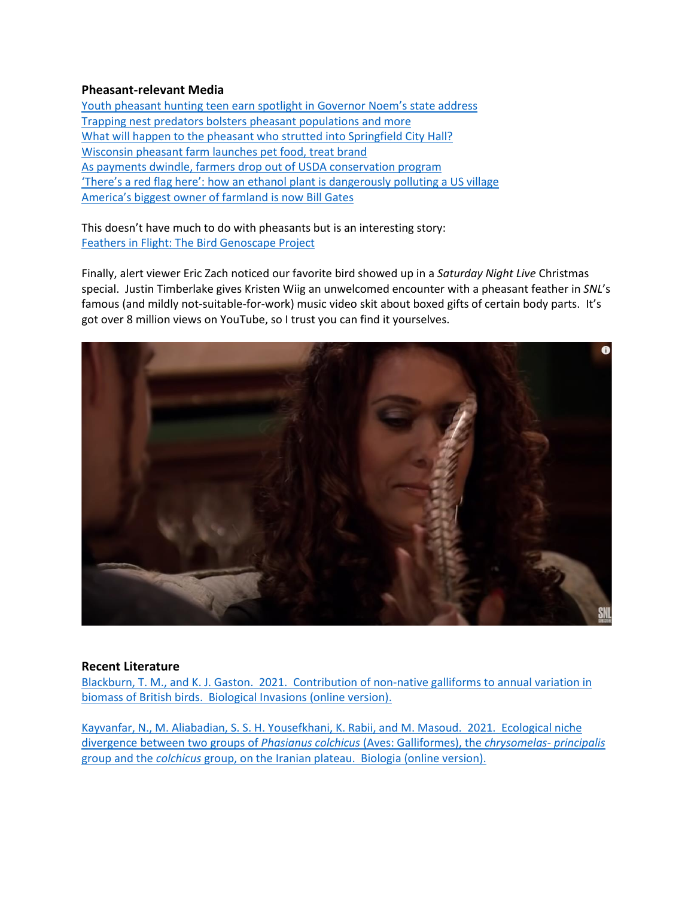#### **Pheasant-relevant Media**

[Youth pheasant hunting teen earn spotlight in Governor](https://www.mitchellrepublic.com/news/government-and-politics/6837530-Wagner-Platte-and-youth-pheasant-hunting-teen-earn-spotlight-in-Noem%E2%80%99s-state-address) Noem's state address [Trapping nest predators bolsters pheasant populations and more](https://listen.sdpb.org/post/trapping-nest-predators-bolsters-pheasant-populations-more) [What will happen to the pheasant who strutted into Springfield City Hall?](https://www.battlecreekenquirer.com/story/news/2021/02/05/what-happen-pheasant-who-strutted-into-springfield-city-hall/4407455001/) [Wisconsin pheasant farm launches pet food, treat brand](https://www.petfoodprocessing.net/articles/14433-wisconsin-pheasant-farm-launches-pet-food-treat-brand) [As payments dwindle, farmers drop out of USDA conservation program](http://netnebraska.org/article/news/1251656/payments-dwindle-farmers-drop-out-usda-conservation-program?emci=bbee297f-d267-eb11-9889-00155d43c992&emdi=45edee06-0868-eb11-9889-00155d43c992&ceid=1730541) ['There's a red flag here': how an ethanol plant is dangerousl](https://www.theguardian.com/us-news/2021/jan/10/mead-nebraska-ethanol-plant-pollution-danger)y polluting a US village America's biggest [owner of farmland is now Bill Gates](https://www.forbes.com/sites/arielshapiro/2021/01/14/americas-biggest-owner-of-farmland-is-now-bill-gates-bezos-turner/?sh=2eeedb676096)

This doesn't have much to do with pheasants but is an interesting story: [Feathers in Flight: The Bird Genoscape Project](https://www.youtube.com/watch?v=_p43ksRgIlk)

Finally, alert viewer Eric Zach noticed our favorite bird showed up in a *Saturday Night Live* Christmas special. Justin Timberlake gives Kristen Wiig an unwelcomed encounter with a pheasant feather in *SNL*'s famous (and mildly not-suitable-for-work) music video skit about boxed gifts of certain body parts. It's got over 8 million views on YouTube, so I trust you can find it yourselves.



#### **Recent Literature**

[Blackburn, T. M., and K. J. Gaston. 2021. Contribution of non-native galliforms to annual variation in](https://doi.org/10.1007/s10530-021-02458-y)  [biomass of British birds. Biological Invasions \(online version\).](https://doi.org/10.1007/s10530-021-02458-y)

[Kayvanfar, N., M. Aliabadian, S. S. H. Yousefkhani, K. Rabii, and M. Masoud. 2021. Ecological niche](https://doi.org/10.2478/s11756-020-00653-1)  [divergence between two groups of](https://doi.org/10.2478/s11756-020-00653-1) *Phasianus colchicus* (Aves: Galliformes), the *chrysomelas- principalis* group and the *colchicus* [group, on the Iranian plateau. Biologia](https://doi.org/10.2478/s11756-020-00653-1) (online version).